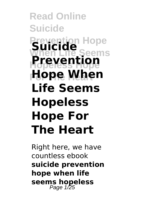#### **Read Online Suicide Prevention Hope When Life Seems Hopeless Hope Hope When Suicide Prevention Life Seems Hopeless Hope For The Heart**

Right here, we have countless ebook **suicide prevention hope when life seems hopeless** Page 1/25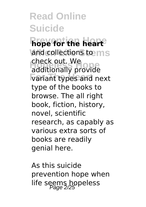**Prevention Hope hope for the heart** land collections to ms **EXECTS BOOK**<br>additionally provide **For The Heart** variant types and next check out. We type of the books to browse. The all right book, fiction, history, novel, scientific research, as capably as various extra sorts of books are readily genial here.

As this suicide prevention hope when life seems hopeless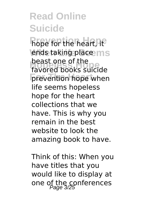**Prope for the heart, Ite** ends taking place ms **Hopean**<br>Favored books suicide prevention hope when beast one of the life seems hopeless hope for the heart collections that we have. This is why you remain in the best website to look the amazing book to have.

Think of this: When you have titles that you would like to display at one of the conferences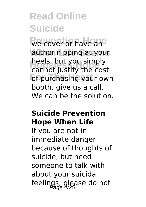We cover or have an<sup>e</sup> author nipping at your **Hopeless Hope** cannot justify the cost *<u><b>Fourchasing your own*</u> heels, but you simply booth, give us a call. We can be the solution.

#### **Suicide Prevention Hope When Life**

If you are not in immediate danger because of thoughts of suicide, but need someone to talk with about your suicidal feelings, please do not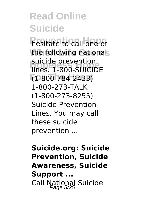**hesitate to call one of** the following nationals **Hopeless Hope** lines: 1-800-SUICIDE **For The Heart** (1-800-784-2433) suicide prevention 1-800-273-TALK (1-800-273-8255) Suicide Prevention Lines. You may call these suicide prevention ...

**Suicide.org: Suicide Prevention, Suicide Awareness, Suicide Support ...** Call National Suicide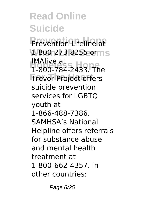Prevention Lifeline at **When Life Seems** 1-800-273-8255 or **Hopeless Hope** 1-800-784-2433. The **Trevor Project offers** IMAlive at suicide prevention services for LGBTQ youth at 1-866-488-7386. SAMHSA's National Helpline offers referrals for substance abuse and mental health treatment at 1-800-662-4357. In other countries:

Page 6/25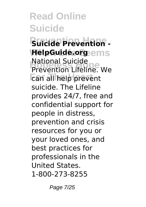**Prevention Hope Suicide Prevention - HelpGuide.org**ems **Hopele Suicide**<br>Prevention Lifeline. We can all help prevent National Suicide suicide. The Lifeline provides 24/7, free and confidential support for people in distress, prevention and crisis resources for you or your loved ones, and best practices for professionals in the United States. 1-800-273-8255

Page 7/25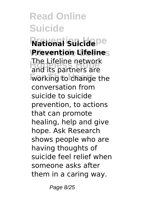**National Suicide**pe **Prevention Lifelines Hopeless Hope** and its partners are **Working** to change the The Lifeline network conversation from suicide to suicide prevention, to actions that can promote healing, help and give hope. Ask Research shows people who are having thoughts of suicide feel relief when someone asks after them in a caring way.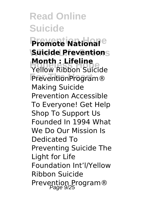**Premote National**<sup>e</sup> **Suicide Preventions Month: Liferine**<br>Yellow Ribbon Suicide **PreventionProgram® Month : Lifeline** Making Suicide Prevention Accessible To Everyone! Get Help Shop To Support Us Founded In 1994 What We Do Our Mission Is Dedicated To Preventing Suicide The Light for Life Foundation Int'l/Yellow Ribbon Suicide Prevention Program®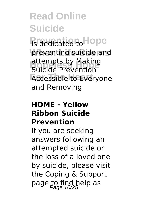**Predicated to Hope** preventing suicide and **Hopein Constituted Boulding**<br>
Suicide Prevention **Accessible to Everyone** attempts by Making and Removing

#### **HOME - Yellow Ribbon Suicide Prevention**

If you are seeking answers following an attempted suicide or the loss of a loved one by suicide, please visit the Coping & Support page to find help as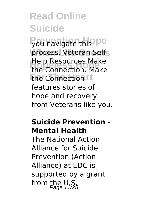you navigate this pe process. Veteran Self-Help Resources Make<br>the Connection. Make **The Connection rt** Help Resources Make features stories of hope and recovery from Veterans like you.

#### **Suicide Prevention - Mental Health**

The National Action Alliance for Suicide Prevention (Action Alliance) at EDC is supported by a grant from the  $V, S$ <sub>age 11/25</sub>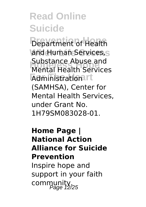**Pepartment of Health** and Human Services, S **Hopeless Hope** Mental Health Services **Administrationart** Substance Abuse and (SAMHSA), Center for Mental Health Services, under Grant No. 1H79SM083028-01.

#### **Home Page | National Action Alliance for Suicide Prevention** Inspire hope and support in your faith community.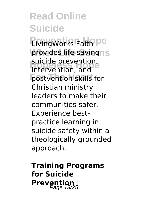**LivingWorks Faith Pe** provides life-savingns suicide prevention,<br>intervention, and postvention skills for intervention, and Christian ministry leaders to make their communities safer. Experience bestpractice learning in suicide safety within a theologically grounded approach.

**Training Programs for Suicide Prevention**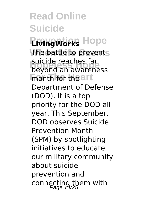**Read Online Suicide Privingworks** Hope The battle to prevents suicide reacries fai<br>beyond an awareness **For the art** suicide reaches far Department of Defense (DOD). It is a top priority for the DOD all year. This September, DOD observes Suicide Prevention Month (SPM) by spotlighting initiatives to educate our military community about suicide prevention and connecting them with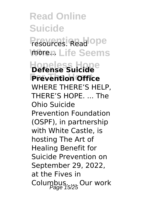**Read Online Suicide Presources** Read ope **When Life Seems Hopeless Hope Defense Suicide Prevention Office** WHERE THERE'S HELP, THERE'S HOPE. ... The Ohio Suicide Prevention Foundation (OSPF), in partnership with White Castle, is hosting The Art of Healing Benefit for Suicide Prevention on September 29, 2022, at the Fives in Columbus. Our work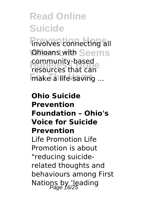**Privolves connecting all Ohioans with Seems Community-based**<br>resources that can make a life-saving ... resources that can

**Ohio Suicide Prevention Foundation – Ohio's Voice for Suicide Prevention** Life Promotion Life Promotion is about "reducing suiciderelated thoughts and behaviours among First Nations by 'leading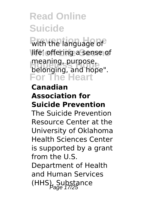with the language of **When Life Seems** life' offering a sense of meaning, purpose,<br>belonging, and hope". **For The Heart** meaning, purpose,

#### **Canadian Association for Suicide Prevention**

The Suicide Prevention Resource Center at the University of Oklahoma Health Sciences Center is supported by a grant from the U.S.

Department of Health and Human Services  $(HHS)$ , Substance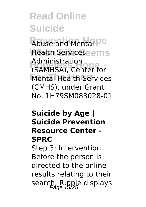**Abuse and Mental De Health Serviceseems Hopeless Hope** (SAMHSA), Center for **Mental Health Services** Administration (CMHS), under Grant No. 1H79SM083028-01

#### **Suicide by Age | Suicide Prevention Resource Center - SPRC**

Step 3: Intervention. Before the person is directed to the online results relating to their search, R;pple displays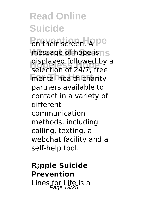**Pritheir screen. Ape** message of hope is ns alsplayed followed by<br>selection of 24/7, free **Formula** health charity displayed followed by a partners available to contact in a variety of different communication methods, including calling, texting, a webchat facility and a self-help tool.

#### **R;pple Suicide Prevention** Lines for Life is a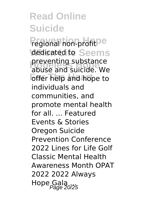**Pregional hon-profit<sup>De</sup> dedicated to Seems preventing substance**<br>abuse and suicide We **For The Heart** and hope to abuse and suicide. We individuals and communities, and promote mental health for all. ... Featured Events & Stories Oregon Suicide Prevention Conference 2022 Lines for Life Golf Classic Mental Health Awareness Month OPAT 2022 2022 Always Hope Gala<br>Page 20/25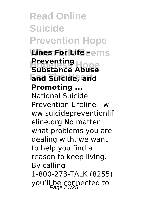**Read Online Suicide Prevention Hope Lines For Life eems Preventing**<br>Substance Abuse **For The Heart and Suicide, and Substance Abuse Promoting ...** National Suicide Prevention Lifeline - w ww.suicidepreventionlif eline.org No matter what problems you are dealing with, we want to help you find a reason to keep living. By calling 1-800-273-TALK (8255) you'll be connected to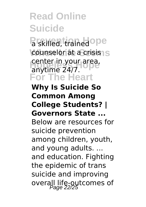a skilled, trained ope counselor at a crisis1S **Hopeler** in your area, **For The Heart** anytime 24/7.

#### **Why Is Suicide So Common Among College Students? | Governors State ...**

Below are resources for suicide prevention among children, youth, and young adults. ... and education. Fighting the epidemic of trans suicide and improving overall life-outcomes of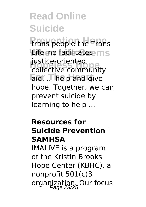**Prans people the Trans Lifeline facilitates** justice-oriented,<br>collective community aid. ... help and give justice-oriented, hope. Together, we can prevent suicide by learning to help ...

#### **Resources for Suicide Prevention | SAMHSA**

IMALIVE is a program of the Kristin Brooks Hope Center (KBHC), a nonprofit 501(c)3 organization. Our focus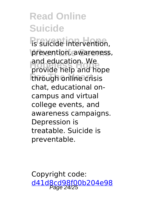**Prediction** Hope<sup>T</sup> intervention, prevention, awareness, and education. we<br>provide help and hope **through online crisis** and education. We chat, educational oncampus and virtual college events, and awareness campaigns. Depression is treatable. Suicide is preventable.

Copyright code: [d41d8cd98f00b204e98](/sitemap.xml)